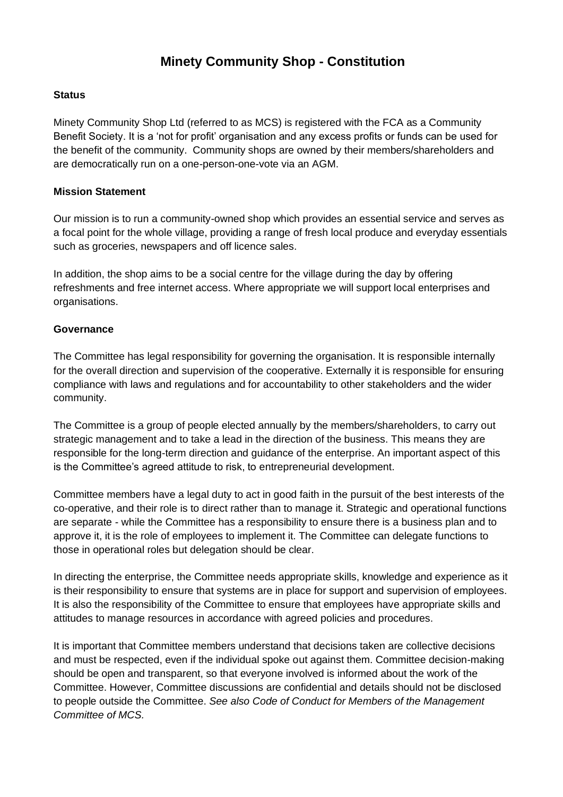# **Minety Community Shop - Constitution**

#### **Status**

Minety Community Shop Ltd (referred to as MCS) is registered with the FCA as a Community Benefit Society. It is a 'not for profit' organisation and any excess profits or funds can be used for the benefit of the community. Community shops are owned by their members/shareholders and are democratically run on a one-person-one-vote via an AGM.

#### **Mission Statement**

Our mission is to run a community-owned shop which provides an essential service and serves as a focal point for the whole village, providing a range of fresh local produce and everyday essentials such as groceries, newspapers and off licence sales.

In addition, the shop aims to be a social centre for the village during the day by offering refreshments and free internet access. Where appropriate we will support local enterprises and organisations.

#### **Governance**

The Committee has legal responsibility for governing the organisation. It is responsible internally for the overall direction and supervision of the cooperative. Externally it is responsible for ensuring compliance with laws and regulations and for accountability to other stakeholders and the wider community.

The Committee is a group of people elected annually by the members/shareholders, to carry out strategic management and to take a lead in the direction of the business. This means they are responsible for the long-term direction and guidance of the enterprise. An important aspect of this is the Committee's agreed attitude to risk, to entrepreneurial development.

Committee members have a legal duty to act in good faith in the pursuit of the best interests of the co-operative, and their role is to direct rather than to manage it. Strategic and operational functions are separate - while the Committee has a responsibility to ensure there is a business plan and to approve it, it is the role of employees to implement it. The Committee can delegate functions to those in operational roles but delegation should be clear.

In directing the enterprise, the Committee needs appropriate skills, knowledge and experience as it is their responsibility to ensure that systems are in place for support and supervision of employees. It is also the responsibility of the Committee to ensure that employees have appropriate skills and attitudes to manage resources in accordance with agreed policies and procedures.

It is important that Committee members understand that decisions taken are collective decisions and must be respected, even if the individual spoke out against them. Committee decision-making should be open and transparent, so that everyone involved is informed about the work of the Committee. However, Committee discussions are confidential and details should not be disclosed to people outside the Committee. *See also Code of Conduct for Members of the Management Committee of MCS.*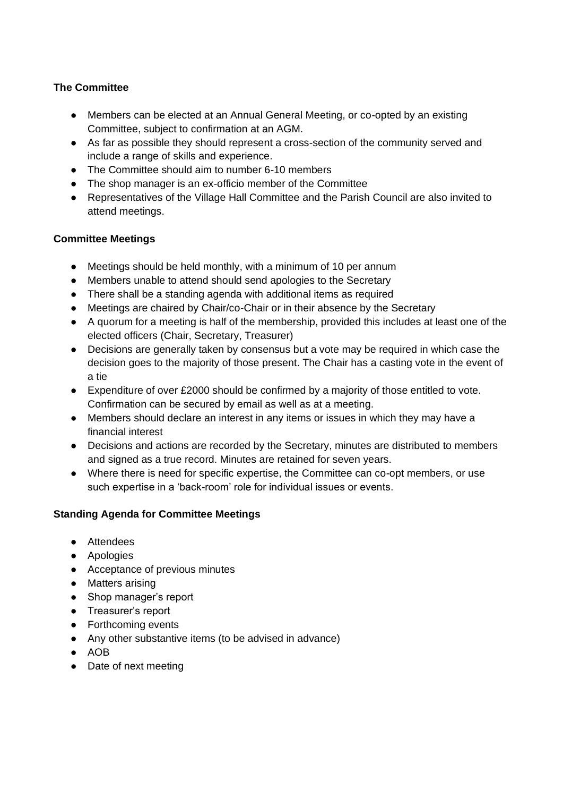## **The Committee**

- Members can be elected at an Annual General Meeting, or co-opted by an existing Committee, subject to confirmation at an AGM.
- As far as possible they should represent a cross-section of the community served and include a range of skills and experience.
- The Committee should aim to number 6-10 members
- The shop manager is an ex-officio member of the Committee
- Representatives of the Village Hall Committee and the Parish Council are also invited to attend meetings.

## **Committee Meetings**

- Meetings should be held monthly, with a minimum of 10 per annum
- Members unable to attend should send apologies to the Secretary
- There shall be a standing agenda with additional items as required
- Meetings are chaired by Chair/co-Chair or in their absence by the Secretary
- A quorum for a meeting is half of the membership, provided this includes at least one of the elected officers (Chair, Secretary, Treasurer)
- Decisions are generally taken by consensus but a vote may be required in which case the decision goes to the majority of those present. The Chair has a casting vote in the event of a tie
- Expenditure of over £2000 should be confirmed by a majority of those entitled to vote. Confirmation can be secured by email as well as at a meeting.
- Members should declare an interest in any items or issues in which they may have a financial interest
- Decisions and actions are recorded by the Secretary, minutes are distributed to members and signed as a true record. Minutes are retained for seven years.
- Where there is need for specific expertise, the Committee can co-opt members, or use such expertise in a 'back-room' role for individual issues or events.

## **Standing Agenda for Committee Meetings**

- Attendees
- Apologies
- Acceptance of previous minutes
- Matters arising
- Shop manager's report
- Treasurer's report
- Forthcoming events
- Any other substantive items (to be advised in advance)
- AOB
- Date of next meeting